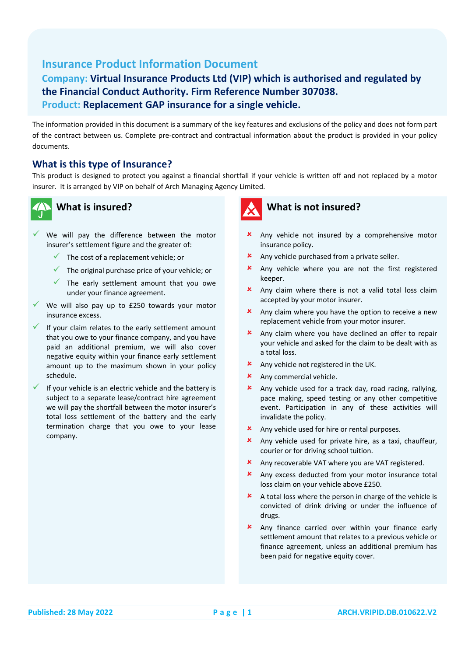# **Insurance Product Information Document**

## **Company: Virtual Insurance Products Ltd (VIP) which is authorised and regulated by the Financial Conduct Authority. Firm Reference Number 307038. Product: Replacement GAP insurance for a single vehicle.**

The information provided in this document is a summary of the key features and exclusions of the policy and does not form part of the contract between us. Complete pre-contract and contractual information about the product is provided in your policy documents.

#### **What is this type of Insurance?**

This product is designed to protect you against a financial shortfall if your vehicle is written off and not replaced by a motor insurer. It is arranged by VIP on behalf of Arch Managing Agency Limited.



## **What is insured?**

- $\checkmark$  We will pay the difference between the motor insurer's settlement figure and the greater of:
	- $\checkmark$  The cost of a replacement vehicle; or
	- $\checkmark$  The original purchase price of your vehicle; or
	- $\checkmark$  The early settlement amount that you owe under your finance agreement.
- $\checkmark$  We will also pay up to £250 towards your motor insurance excess.
- If your claim relates to the early settlement amount that you owe to your finance company, and you have paid an additional premium, we will also cover negative equity within your finance early settlement amount up to the maximum shown in your policy schedule.
- If your vehicle is an electric vehicle and the battery is subject to a separate lease/contract hire agreement we will pay the shortfall between the motor insurer's total loss settlement of the battery and the early termination charge that you owe to your lease company.



## **What is not insured?**

- **x** Any vehicle not insured by a comprehensive motor insurance policy.
- **\*** Any vehicle purchased from a private seller.
- **x** Any vehicle where you are not the first registered keeper.
- Any claim where there is not a valid total loss claim accepted by your motor insurer.
- **\*** Any claim where you have the option to receive a new replacement vehicle from your motor insurer.
- Any claim where you have declined an offer to repair your vehicle and asked for the claim to be dealt with as a total loss.
- **x** Any vehicle not registered in the UK.
- **x** Any commercial vehicle.
- Any vehicle used for a track day, road racing, rallying, pace making, speed testing or any other competitive event. Participation in any of these activities will invalidate the policy.
- Any vehicle used for hire or rental purposes.
- Any vehicle used for private hire, as a taxi, chauffeur, courier or for driving school tuition.
- Any recoverable VAT where you are VAT registered.
- Any excess deducted from your motor insurance total loss claim on your vehicle above £250.
- $\star$  A total loss where the person in charge of the vehicle is convicted of drink driving or under the influence of drugs.
- **x** Any finance carried over within your finance early settlement amount that relates to a previous vehicle or finance agreement, unless an additional premium has been paid for negative equity cover.